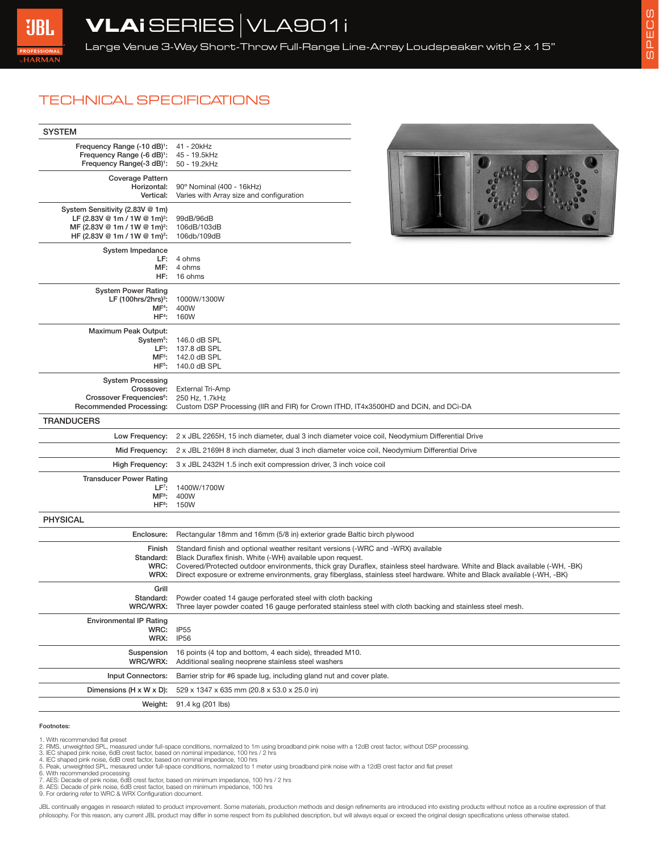## TECHNICAL SPECIFICATIONS

| <b>SYSTEM</b>                                                                                                                                                       |                                                                                                                                                                                                                                                                                                                                                                                                           |  |
|---------------------------------------------------------------------------------------------------------------------------------------------------------------------|-----------------------------------------------------------------------------------------------------------------------------------------------------------------------------------------------------------------------------------------------------------------------------------------------------------------------------------------------------------------------------------------------------------|--|
| Frequency Range (-10 dB) <sup>1</sup> :<br>Frequency Range (-6 dB) <sup>1</sup> :<br>Frequency Range(-3 dB) <sup>1</sup> :                                          | 41 - 20kHz<br>45 - 19.5kHz<br>50 - 19.2kHz                                                                                                                                                                                                                                                                                                                                                                |  |
| <b>Coverage Pattern</b><br>Horizontal:<br>Vertical:                                                                                                                 | 90° Nominal (400 - 16kHz)<br>Varies with Array size and configuration                                                                                                                                                                                                                                                                                                                                     |  |
| System Sensitivity (2.83V @ 1m)<br>LF (2.83V @ 1m / 1W @ 1m) <sup>2</sup> :<br>MF (2.83V @ 1m / 1W @ 1m) <sup>2</sup> :<br>HF (2.83V @ 1m / 1W @ 1m) <sup>2</sup> : | 99dB/96dB<br>106dB/103dB<br>106db/109dB                                                                                                                                                                                                                                                                                                                                                                   |  |
| System Impedance<br>MF:<br>HF:                                                                                                                                      | LF: 4 ohms<br>4 ohms<br>16 ohms                                                                                                                                                                                                                                                                                                                                                                           |  |
| <b>System Power Rating</b><br>LF $(100 hrs/2hrs)^3$ :<br>MF <sup>4</sup> :<br>$HF4$ :                                                                               | 1000W/1300W<br>400W<br>160W                                                                                                                                                                                                                                                                                                                                                                               |  |
| Maximum Peak Output:<br>System <sup>5</sup> :<br>$HF5$ :                                                                                                            | 146.0 dB SPL<br>LF <sup>5</sup> : 137.8 dB SPL<br>MF <sup>5</sup> : 142.0 dB SPL<br>140.0 dB SPL                                                                                                                                                                                                                                                                                                          |  |
| <b>System Processing</b><br>Crossover:<br>Crossover Frequencies <sup>6</sup> :<br><b>Recommended Processing:</b>                                                    | <b>External Tri-Amp</b><br>250 Hz, 1.7kHz<br>Custom DSP Processing (IIR and FIR) for Crown ITHD, IT4x3500HD and DCiN, and DCi-DA                                                                                                                                                                                                                                                                          |  |
| <b>TRANDUCERS</b>                                                                                                                                                   |                                                                                                                                                                                                                                                                                                                                                                                                           |  |
| Low Frequency:                                                                                                                                                      | 2 x JBL 2265H, 15 inch diameter, dual 3 inch diameter voice coil, Neodymium Differential Drive                                                                                                                                                                                                                                                                                                            |  |
| Mid Frequency:                                                                                                                                                      | 2 x JBL 2169H 8 inch diameter, dual 3 inch diameter voice coil, Neodymium Differential Drive<br>3 x JBL 2432H 1.5 inch exit compression driver, 3 inch voice coil                                                                                                                                                                                                                                         |  |
| High Frequency:<br><b>Transducer Power Rating</b><br>$LF7$ :<br>MF <sup>8</sup> :<br>HF <sup>8</sup> :                                                              | 1400W/1700W<br>400W<br>150W                                                                                                                                                                                                                                                                                                                                                                               |  |
| <b>PHYSICAL</b>                                                                                                                                                     |                                                                                                                                                                                                                                                                                                                                                                                                           |  |
| Enclosure:                                                                                                                                                          | Rectangular 18mm and 16mm (5/8 in) exterior grade Baltic birch plywood                                                                                                                                                                                                                                                                                                                                    |  |
| Finish<br>Standard:<br>WRC:<br>WRX:                                                                                                                                 | Standard finish and optional weather resitant versions (-WRC and -WRX) available<br>Black Duraflex finish. White (-WH) available upon request.<br>Covered/Protected outdoor environments, thick gray Duraflex, stainless steel hardware. White and Black available (-WH, -BK)<br>Direct exposure or extreme environments, gray fiberglass, stainless steel hardware. White and Black available (-WH, -BK) |  |
| Grill<br>WRC/WRX:                                                                                                                                                   | Standard: Powder coated 14 gauge perforated steel with cloth backing<br>Three layer powder coated 16 gauge perforated stainless steel with cloth backing and stainless steel mesh.                                                                                                                                                                                                                        |  |
| <b>Environmental IP Rating</b><br>WRC:<br>WRX:                                                                                                                      | <b>IP55</b><br>IP <sub>56</sub>                                                                                                                                                                                                                                                                                                                                                                           |  |
| Suspension<br>WRC/WRX:                                                                                                                                              | 16 points (4 top and bottom, 4 each side), threaded M10.<br>Additional sealing neoprene stainless steel washers                                                                                                                                                                                                                                                                                           |  |
| <b>Input Connectors:</b>                                                                                                                                            | Barrier strip for #6 spade lug, including gland nut and cover plate.                                                                                                                                                                                                                                                                                                                                      |  |
| Dimensions (H x W x D):                                                                                                                                             | 529 x 1347 x 635 mm (20.8 x 53.0 x 25.0 in)                                                                                                                                                                                                                                                                                                                                                               |  |
|                                                                                                                                                                     | Weight: 91.4 kg (201 lbs)                                                                                                                                                                                                                                                                                                                                                                                 |  |

## Footnotes:

1. With recommended flat preset<br>2. RMS, unweighted SPL, measured under full-space conditions, normalized to 1m using broadband pink noise with a 12dB crest factor, without DSP processing.<br>3. IEC shaped pink noise, 6dB cres

- 
- 4. IEC shaped pink noise, 6dB crest factor, based on nominal impedance, 100 hrs<br>5. Peak, unweighted SPL, mesaured under full-space conditions, normalized to 1 meter using broadband pink noise with a 12dB crest factor and f
- 
- 
- 7. AES: Decade of pink noise, 6dB crest factor, based on minimum impedance, 100 hrs / 2 hrs<br>8. AES: Decade of pink noise, 6dB crest factor, based on minimum impedance, 100 hrs<br>9. For ordering refer to WRC & WRX Configurati

JBL continually engages in research related to product improvement. Some materials, production methods and design refinements are introduced into existing products without notice as a routine expression of that philosophy. For this reason, any current JBL product may differ in some respect from its published description, but will always equal or exceed the original design specifications unless otherwise stated.